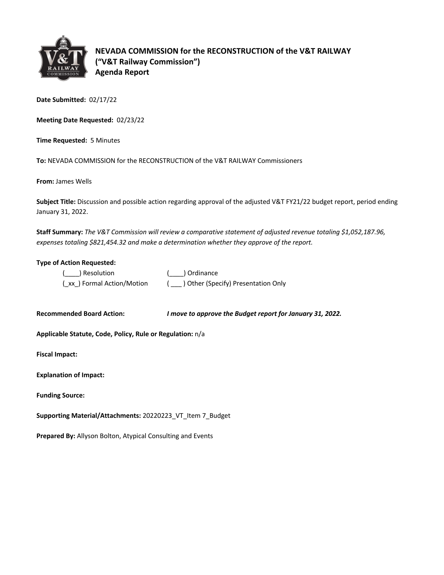

**NEVADA COMMISSION for the RECONSTRUCTION of the V&T RAILWAY ("V&T Railway Commission") Agenda Report**

**Date Submitted:** 02/17/22

**Meeting Date Requested:** 02/23/22

**Time Requested:** 5 Minutes

**To:** NEVADA COMMISSION for the RECONSTRUCTION of the V&T RAILWAY Commissioners

**From:** James Wells

**Subject Title:** Discussion and possible action regarding approval of the adjusted V&T FY21/22 budget report, period ending January 31, 2022.

**Staff Summary:** *The V&T Commission will review a comparative statement of adjusted revenue totaling \$1,052,187.96, expenses totaling \$821,454.32 and make a determination whether they approve of the report.*

## **Type of Action Requested:**

| ( ) Resolution              | ( ) Ordinance                       |
|-----------------------------|-------------------------------------|
| (_xx_) Formal Action/Motion | ) Other (Specify) Presentation Only |

**Recommended Board Action:** *I move to approve the Budget report for January 31, 2022.* 

**Applicable Statute, Code, Policy, Rule or Regulation:** n/a

**Fiscal Impact:**

| <b>Explanation of Impact:</b> |  |
|-------------------------------|--|
|                               |  |

**Funding Source:**

**Supporting Material/Attachments:** 20220223\_VT\_Item 7\_Budget

**Prepared By:** Allyson Bolton, Atypical Consulting and Events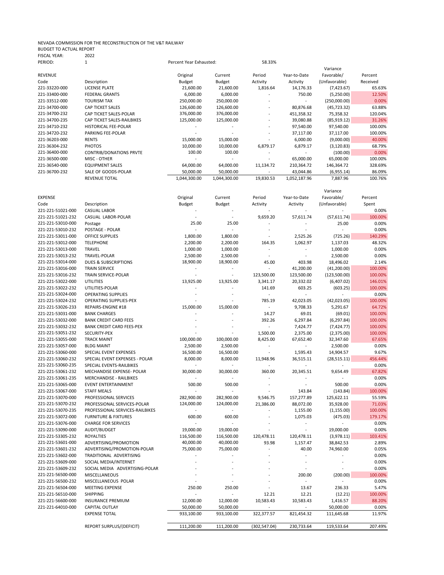## NEVADA COMMISSION FOR THE RECONSTRUCTION OF THE V&T RAILWAY BUDGET TO ACTUAL REPORT FISCAL YEAR: 2022

| PERIOD:        |                                | Percent Year Exhausted: |              | 58.33%                   |              |               |          |
|----------------|--------------------------------|-------------------------|--------------|--------------------------|--------------|---------------|----------|
|                |                                |                         |              |                          |              | Variance      |          |
| <b>REVENUE</b> |                                | Original                | Current      | Period                   | Year-to-Date | Favorable/    | Percent  |
| Code           | Description                    | Budget                  | Budget       | Activity                 | Activity     | (Unfavorable) | Received |
| 221-33220-000  | LICENSE PLATE                  | 21,600.00               | 21,600.00    | 1,816.64                 | 14,176.33    | (7,423.67)    | 65.63%   |
| 221-33400-000  | <b>FEDERAL GRANTS</b>          | 6,000.00                | 6,000.00     |                          | 750.00       | (5,250.00)    | 12.50%   |
| 221-33512-000  | TOURISM TAX                    | 250,000.00              | 250,000.00   | $\overline{\phantom{a}}$ |              | (250,000.00)  | 0.00%    |
| 221-34700-000  | <b>CAP TICKET SALES</b>        | 126,600.00              | 126,600.00   | $\overline{\phantom{a}}$ | 80,876.68    | (45, 723.32)  | 63.88%   |
| 221-34700-232  | CAP TICKET SALES-POLAR         | 376,000.00              | 376,000.00   | $\overline{\phantom{a}}$ | 451,358.32   | 75,358.32     | 120.04%  |
| 221-34700-235  | CAP TICKET SALES-RAILBIKES     | 125,000.00              | 125,000.00   |                          | 39,080.88    | (85, 919.12)  | 31.26%   |
| 221-34710-232  | <b>HISTORICAL FEE-POLAR</b>    |                         |              | $\overline{\phantom{a}}$ | 97,540.00    | 97,540.00     | 100.00%  |
| 221-34720-232  | PARKING FEE-POLAR              |                         |              | $\overline{\phantom{a}}$ | 37,117.00    | 37,117.00     | 100.00%  |
| 221-36203-000  | <b>RENTS</b>                   | 15,000.00               | 15,000.00    |                          | 6,000.00     | (9,000.00)    | 40.00%   |
| 221-36304-232  | <b>PHOTOS</b>                  | 10,000.00               | 10,000.00    | 6,879.17                 | 6,879.17     | (3, 120.83)   | 68.79%   |
| 221-36400-000  | <b>CONTRIB/DONATIONS PRVTE</b> | 100.00                  | 100.00       |                          |              | (100.00)      | 0.00%    |
| 221-36500-000  | MISC - OTHER                   |                         |              |                          | 65,000.00    | 65,000.00     | 100.00%  |
| 221-36540-000  | <b>EQUIPMENT SALES</b>         | 64,000.00               | 64,000.00    | 11,134.72                | 210,364.72   | 146,364.72    | 328.69%  |
| 221-36700-232  | SALE OF GOODS-POLAR            | 50,000.00               | 50,000.00    |                          | 43,044.86    | (6,955.14)    | 86.09%   |
|                | <b>REVENUE TOTAL</b>           | 1,044,300.00            | 1,044,300.00 | 19,830.53                | 1,052,187.96 | 7,887.96      | 100.76%  |

|                                        |                                            |                      |            |                          |                       | Variance       |         |
|----------------------------------------|--------------------------------------------|----------------------|------------|--------------------------|-----------------------|----------------|---------|
| <b>EXPENSE</b>                         |                                            | Original             | Current    | Period                   | Year-to-Date          | Favorable/     | Percent |
| Code                                   | Description                                | Budget               | Budget     | Activity                 | Activity              | (Unfavorable)  | Spent   |
| 221-221-51021-000                      | <b>CASUAL LABOR</b>                        |                      |            |                          |                       |                | 0.00%   |
| 221-221-51021-232                      | CASUAL LABOR-POLAR                         |                      |            | 9,659.20                 | 57,611.74             | (57,611.74)    | 100.00% |
| 221-221-53010-000                      | Postage                                    | 25.00                | 25.00      |                          |                       | 25.00          | 0.00%   |
| 221-221-53010-232                      | POSTAGE - POLAR                            |                      |            |                          |                       |                | 0.00%   |
| 221-221-53011-000                      | <b>OFFICE SUPPLIES</b>                     | 1,800.00             | 1,800.00   |                          | 2,525.26              | (725.26)       | 140.29% |
| 221-221-53012-000                      | <b>TELEPHONE</b>                           | 2,200.00             | 2,200.00   | 164.35                   | 1,062.97              | 1,137.03       | 48.32%  |
| 221-221-53013-000                      | <b>TRAVEL</b>                              | 1,000.00             | 1,000.00   | $\sim$                   | $\tilde{\phantom{a}}$ | 1,000.00       | 0.00%   |
| 221-221-53013-232                      | TRAVEL-POLAR                               | 2,500.00             | 2,500.00   | $\sim$                   | $\sim$                | 2,500.00       | 0.00%   |
| 221-221-53014-000                      | <b>DUES &amp; SUBSCRIPTIONS</b>            | 18,900.00            | 18,900.00  | 45.00                    | 403.98                | 18,496.02      | 2.14%   |
| 221-221-53016-000                      | <b>TRAIN SERVICE</b>                       | $\blacksquare$       |            |                          | 41,200.00             | (41,200.00)    | 100.00% |
| 221-221-53016-232                      | TRAIN SERVICE-POLAR                        | $\sim$               | $\omega$   | 123,500.00               | 123,500.00            | (123,500.00)   | 100.00% |
| 221-221-53022-000                      | <b>UTILITIES</b>                           | 13,925.00            | 13,925.00  | 3,341.17                 | 20,332.02             | (6,407.02)     | 146.01% |
| 221-221-53022-232                      | UTILITIES-POLAR                            |                      |            | 141.69                   | 603.25                | (603.25)       | 100.00% |
| 221-221-53024-000                      | <b>OPERATING SUPPLIES</b>                  |                      |            | $\overline{\phantom{a}}$ |                       |                | 0.00%   |
| 221-221-53024-232                      | <b>OPERATING SUPPLIES-PEX</b>              |                      |            | 785.19                   | 42,023.05             | (42,023.05)    | 100.00% |
| 221-221-53026-233                      | REPAIRS-ENGINE #18                         | 15,000.00            | 15,000.00  | $\omega$                 | 9,708.33              | 5,291.67       | 64.72%  |
| 221-221-53031-000                      | <b>BANK CHARGES</b>                        |                      |            | 14.27                    | 69.01                 | (69.01)        | 100.00% |
| 221-221-53032-000                      | <b>BANK CREDIT CARD FEES</b>               |                      |            | 392.26                   | 6,297.84              | (6, 297.84)    | 100.00% |
| 221-221-53032-232                      | <b>BANK CREDIT CARD FEES-PEX</b>           |                      |            | ÷.                       | 7,424.77              | (7, 424.77)    | 100.00% |
| 221-221-53051-232                      | SECURITY-PEX                               |                      |            | 1,500.00                 | 2,375.00              | (2,375.00)     | 100.00% |
| 221-221-53055-000                      | <b>TRACK MAINT</b>                         | 100,000.00           | 100,000.00 | 8,425.00                 | 67,652.40             | 32,347.60      | 67.65%  |
| 221-221-53057-000                      | <b>BLDG MAINT</b>                          | 2,500.00             | 2,500.00   | ÷,                       | $\blacksquare$        | 2,500.00       | 0.00%   |
| 221-221-53060-000                      | SPECIAL EVENT EXPENSES                     | 16,500.00            | 16,500.00  | $\sim$                   | 1,595.43              | 14,904.57      | 9.67%   |
| 221-221-53060-232                      | SPECIAL EVENT EXPENSES - POLAR             | 8,000.00             | 8,000.00   | 11,948.96                | 36,515.11             | (28, 515.11)   | 456.44% |
| 221-221-53060-235                      | SPECIAL EVENTS-RAILBIKES                   |                      |            |                          | ÷,                    |                | 0.00%   |
| 221-221-53061-232                      | MECHANDISE EXPENSE- POLAR                  | 30,000.00            | 30,000.00  | 360.00                   | 20,345.51             | 9,654.49       | 67.82%  |
| 221-221-53061-235                      | <b>MERCHANDISE - RAILBIKES</b>             |                      |            |                          |                       |                | 0.00%   |
| 221-221-53065-000                      | <b>EVENT ENTERTAINMENT</b>                 | 500.00               | 500.00     |                          | ÷.                    | 500.00         | 0.00%   |
| 221-221-53067-000                      | <b>STAFF MEALS</b>                         |                      |            |                          | 143.84                | (143.84)       | 100.00% |
| 221-221-53070-000                      | PROFESSIONAL SERVICES                      | 282,900.00           | 282,900.00 | 9,546.75                 | 157,277.89            | 125,622.11     | 55.59%  |
| 221-221-53070-232                      | PROFESSIONAL SERVICES-POLAR                |                      |            |                          |                       |                | 71.03%  |
| 221-221-53070-235                      | PROFESSIONAL SERVICES-RAILBIKES            | 124,000.00<br>$\sim$ | 124,000.00 | 21,386.00                | 88,072.00             | 35,928.00      | 100.00% |
|                                        |                                            | 600.00               | 600.00     |                          | 1,155.00              | (1, 155.00)    | 179.17% |
| 221-221-53072-000<br>221-221-53076-000 | <b>FURNITURE &amp; FIXTURES</b>            |                      |            |                          | 1,075.03<br>÷,        | (475.03)       | 0.00%   |
| 221-221-53090-000                      | <b>CHARGE FOR SERVICES</b><br>AUDIT/BUDGET | 19,000.00            | 19,000.00  |                          |                       |                | 0.00%   |
|                                        |                                            |                      |            |                          |                       | 19,000.00      |         |
| 221-221-53305-232                      | <b>ROYALTIES</b>                           | 116,500.00           | 116,500.00 | 120,478.11               | 120,478.11            | (3,978.11)     | 103.41% |
| 221-221-53601-000                      | ADVERTISING/PROMOTION                      | 40,000.00            | 40,000.00  | 93.98<br>$\overline{a}$  | 1,157.47              | 38,842.53      | 2.89%   |
| 221-221-53601-232                      | ADVERTISING/PROMOTION-POLAR                | 75,000.00            | 75,000.00  |                          | 40.00                 | 74,960.00      | 0.05%   |
| 221-221-53602-000                      | TRADITIONAL ADVERTISING                    | ÷,                   |            |                          | ä,                    | $\sim$         | 0.00%   |
| 221-221-53609-000                      | SOCIAL MEDIA/INTERNET                      |                      |            |                          |                       |                | 0.00%   |
| 221-221-53609-232                      | SOCIAL MEDIA ADVERTISING-POLAR             |                      |            |                          |                       |                | 0.00%   |
| 221-221-56500-000                      | MISCELLANEOUS                              |                      |            |                          | 200.00                | (200.00)       | 100.00% |
| 221-221-56500-232                      | MISCELLANEOUS POLAR                        |                      |            |                          | $\overline{a}$        | $\overline{a}$ | 0.00%   |
| 221-221-56504-000                      | MEETING EXPENSE                            | 250.00               | 250.00     |                          | 13.67                 | 236.33         | 5.47%   |
| 221-221-56510-000                      | <b>SHIPPING</b>                            |                      |            | 12.21                    | 12.21                 | (12.21)        | 100.00% |
| 221-221-56600-000                      | <b>INSURANCE PREMIUM</b>                   | 12,000.00            | 12,000.00  | 10,583.43                | 10,583.43             | 1,416.57       | 88.20%  |
| 221-221-64010-000                      | CAPITAL OUTLAY                             | 50,000.00            | 50,000.00  | $\bar{a}$                |                       | 50,000.00      | 0.00%   |
|                                        | <b>EXPENSE TOTAL</b>                       | 933,100.00           | 933,100.00 | 322,377.57               | 821,454.32            | 111,645.68     | 11.97%  |
|                                        | REPORT SURPLUS/(DEFICIT)                   | 111,200.00           | 111,200.00 | (302, 547.04)            | 230,733.64            | 119,533.64     | 207.49% |